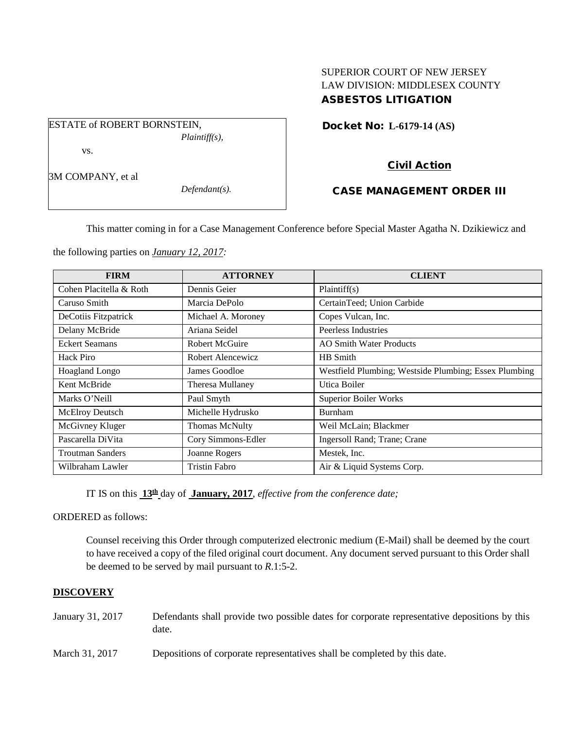## SUPERIOR COURT OF NEW JERSEY LAW DIVISION: MIDDLESEX COUNTY ASBESTOS LITIGATION

Docket No: **L-6179-14 (AS)** 

vs.

3M COMPANY, et al

*Defendant(s).*

*Plaintiff(s),*

# Civil Action

## CASE MANAGEMENT ORDER III

This matter coming in for a Case Management Conference before Special Master Agatha N. Dzikiewicz and

the following parties on *January 12, 2017:*

ESTATE of ROBERT BORNSTEIN,

| <b>FIRM</b>             | <b>ATTORNEY</b>       | <b>CLIENT</b>                                         |
|-------------------------|-----------------------|-------------------------------------------------------|
| Cohen Placitella & Roth | Dennis Geier          | Plaintiff(s)                                          |
| Caruso Smith            | Marcia DePolo         | CertainTeed; Union Carbide                            |
| DeCotiis Fitzpatrick    | Michael A. Moroney    | Copes Vulcan, Inc.                                    |
| Delany McBride          | Ariana Seidel         | Peerless Industries                                   |
| <b>Eckert Seamans</b>   | <b>Robert McGuire</b> | <b>AO Smith Water Products</b>                        |
| Hack Piro               | Robert Alencewicz     | HB Smith                                              |
| Hoagland Longo          | James Goodloe         | Westfield Plumbing; Westside Plumbing; Essex Plumbing |
| Kent McBride            | Theresa Mullaney      | Utica Boiler                                          |
| Marks O'Neill           | Paul Smyth            | <b>Superior Boiler Works</b>                          |
| McElroy Deutsch         | Michelle Hydrusko     | <b>Burnham</b>                                        |
| McGivney Kluger         | <b>Thomas McNulty</b> | Weil McLain; Blackmer                                 |
| Pascarella DiVita       | Cory Simmons-Edler    | Ingersoll Rand; Trane; Crane                          |
| <b>Troutman Sanders</b> | Joanne Rogers         | Mestek, Inc.                                          |
| Wilbraham Lawler        | <b>Tristin Fabro</b>  | Air & Liquid Systems Corp.                            |

IT IS on this **13th** day of **January, 2017**, *effective from the conference date;*

ORDERED as follows:

Counsel receiving this Order through computerized electronic medium (E-Mail) shall be deemed by the court to have received a copy of the filed original court document. Any document served pursuant to this Order shall be deemed to be served by mail pursuant to *R*.1:5-2.

## **DISCOVERY**

| January 31, 2017 | Defendants shall provide two possible dates for corporate representative depositions by this |
|------------------|----------------------------------------------------------------------------------------------|
|                  | date.                                                                                        |

March 31, 2017 Depositions of corporate representatives shall be completed by this date.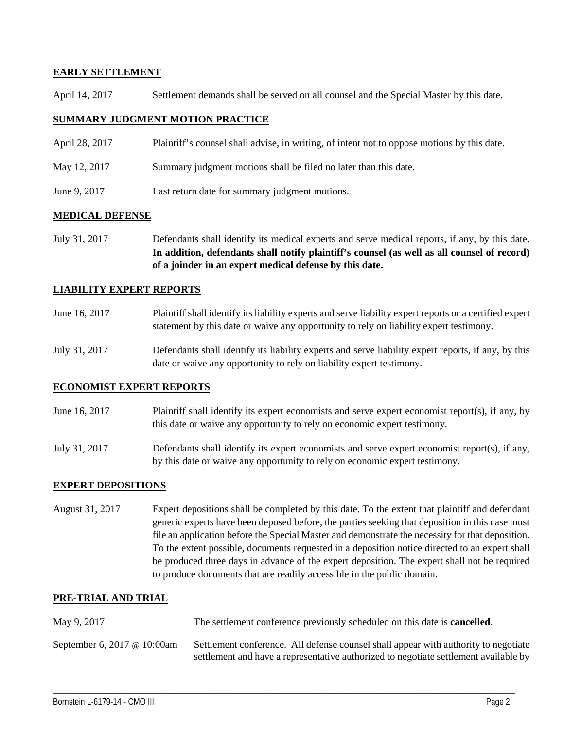### **EARLY SETTLEMENT**

April 14, 2017 Settlement demands shall be served on all counsel and the Special Master by this date.

### **SUMMARY JUDGMENT MOTION PRACTICE**

- April 28, 2017 Plaintiff's counsel shall advise, in writing, of intent not to oppose motions by this date.
- May 12, 2017 Summary judgment motions shall be filed no later than this date.
- June 9, 2017 Last return date for summary judgment motions.

#### **MEDICAL DEFENSE**

July 31, 2017 Defendants shall identify its medical experts and serve medical reports, if any, by this date. **In addition, defendants shall notify plaintiff's counsel (as well as all counsel of record) of a joinder in an expert medical defense by this date.**

#### **LIABILITY EXPERT REPORTS**

| June 16, 2017 | Plaintiff shall identify its liability experts and serve liability expert reports or a certified expert |
|---------------|---------------------------------------------------------------------------------------------------------|
|               | statement by this date or waive any opportunity to rely on liability expert testimony.                  |

July 31, 2017 Defendants shall identify its liability experts and serve liability expert reports, if any, by this date or waive any opportunity to rely on liability expert testimony.

#### **ECONOMIST EXPERT REPORTS**

- June 16, 2017 Plaintiff shall identify its expert economists and serve expert economist report(s), if any, by this date or waive any opportunity to rely on economic expert testimony.
- July 31, 2017 Defendants shall identify its expert economists and serve expert economist report(s), if any, by this date or waive any opportunity to rely on economic expert testimony.

#### **EXPERT DEPOSITIONS**

August 31, 2017 Expert depositions shall be completed by this date. To the extent that plaintiff and defendant generic experts have been deposed before, the parties seeking that deposition in this case must file an application before the Special Master and demonstrate the necessity for that deposition. To the extent possible, documents requested in a deposition notice directed to an expert shall be produced three days in advance of the expert deposition. The expert shall not be required to produce documents that are readily accessible in the public domain.

#### **PRE-TRIAL AND TRIAL**

| May 9, 2017                 | The settlement conference previously scheduled on this date is <b>cancelled</b> .                                                                                           |
|-----------------------------|-----------------------------------------------------------------------------------------------------------------------------------------------------------------------------|
| September 6, 2017 @ 10:00am | Settlement conference. All defense counsel shall appear with authority to negotiate<br>settlement and have a representative authorized to negotiate settlement available by |

\_\_\_\_\_\_\_\_\_\_\_\_\_\_\_\_\_\_\_\_\_\_\_\_\_\_\_\_\_\_\_\_\_\_\_\_\_\_\_\_\_\_\_\_\_\_\_\_\_\_\_\_\_\_\_\_\_\_\_\_\_\_\_\_\_\_\_\_\_\_\_\_\_\_\_\_\_\_\_\_\_\_\_\_\_\_\_\_\_\_\_\_\_\_\_\_\_\_\_\_\_\_\_\_\_\_\_\_\_\_